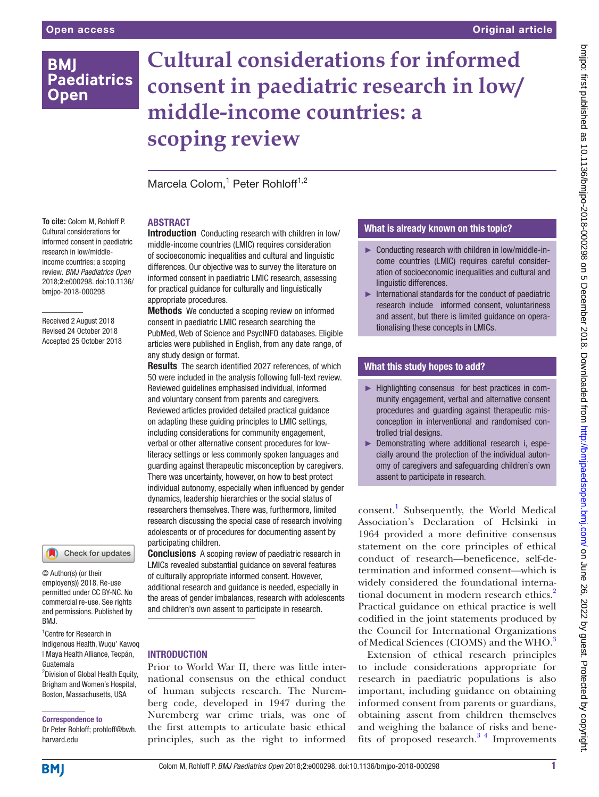## **BMI Paediatrics Open**

# **Cultural considerations for informed consent in paediatric research in low/ middle-income countries: a scoping review**

Marcela Colom,<sup>1</sup> Peter Rohloff<sup>1,2</sup>

## **ABSTRACT**

**To cite:** Colom M, Rohloff P. Cultural considerations for informed consent in paediatric research in low/middleincome countries: a scoping review. *BMJ Paediatrics Open* 2018;2:e000298. doi:10.1136/ bmjpo-2018-000298

Received 2 August 2018 Revised 24 October 2018 Accepted 25 October 2018

#### Check for updates

© Author(s) (or their employer(s)) 2018. Re-use permitted under CC BY-NC. No commercial re-use. See rights and permissions. Published by BMJ.

1 Centre for Research in Indigenous Health, Wuqu' Kawoq | Maya Health Alliance, Tecpán, Guatemala

<sup>2</sup> Division of Global Health Equity, Brigham and Women's Hospital, Boston, Massachusetts, USA

Correspondence to

Dr Peter Rohloff; prohloff@bwh. harvard.edu

Introduction Conducting research with children in low/ middle-income countries (LMIC) requires consideration of socioeconomic inequalities and cultural and linguistic differences. Our objective was to survey the literature on informed consent in paediatric LMIC research, assessing for practical guidance for culturally and linguistically appropriate procedures.

Methods We conducted a scoping review on informed consent in paediatric LMIC research searching the PubMed, Web of Science and PsycINFO databases. Eligible articles were published in English, from any date range, of any study design or format.

Results The search identified 2027 references, of which 50 were included in the analysis following full-text review. Reviewed guidelines emphasised individual, informed and voluntary consent from parents and caregivers. Reviewed articles provided detailed practical guidance on adapting these guiding principles to LMIC settings, including considerations for community engagement, verbal or other alternative consent procedures for lowliteracy settings or less commonly spoken languages and guarding against therapeutic misconception by caregivers. There was uncertainty, however, on how to best protect individual autonomy, especially when influenced by gender dynamics, leadership hierarchies or the social status of researchers themselves. There was, furthermore, limited research discussing the special case of research involving adolescents or of procedures for documenting assent by participating children.

Conclusions A scoping review of paediatric research in LMICs revealed substantial guidance on several features of culturally appropriate informed consent. However, additional research and guidance is needed, especially in the areas of gender imbalances, research with adolescents and children's own assent to participate in research.

## **INTRODUCTION**

Prior to World War II, there was little international consensus on the ethical conduct of human subjects research. The Nuremberg code, developed in 1947 during the Nuremberg war crime trials, was one of the first attempts to articulate basic ethical principles, such as the right to informed

## What is already known on this topic?

- ► Conducting research with children in low/middle-income countries (LMIC) requires careful consideration of socioeconomic inequalities and cultural and linguistic differences.
- $\blacktriangleright$  International standards for the conduct of paediatric research include informed consent, voluntariness and assent, but there is limited guidance on operationalising these concepts in LMICs.

## What this study hopes to add?

- ► Highlighting consensus for best practices in community engagement, verbal and alternative consent procedures and guarding against therapeutic misconception in interventional and randomised controlled trial designs.
- ► Demonstrating where additional research i, especially around the protection of the individual autonomy of caregivers and safeguarding children's own assent to participate in research.

consent.[1](#page-12-0) Subsequently, the World Medical Association's Declaration of Helsinki in 1964 provided a more definitive consensus statement on the core principles of ethical conduct of research—beneficence, self-determination and informed consent—which is widely considered the foundational interna-tional document in modern research ethics.<sup>[2](#page-12-1)</sup> Practical guidance on ethical practice is well codified in the joint statements produced by the Council for International Organizations of Medical Sciences (CIOMS) and the WHO.<sup>[3](#page-12-2)</sup>

Extension of ethical research principles to include considerations appropriate for research in paediatric populations is also important, including guidance on obtaining informed consent from parents or guardians, obtaining assent from children themselves and weighing the balance of risks and benefits of proposed research. $3<sup>4</sup>$  Improvements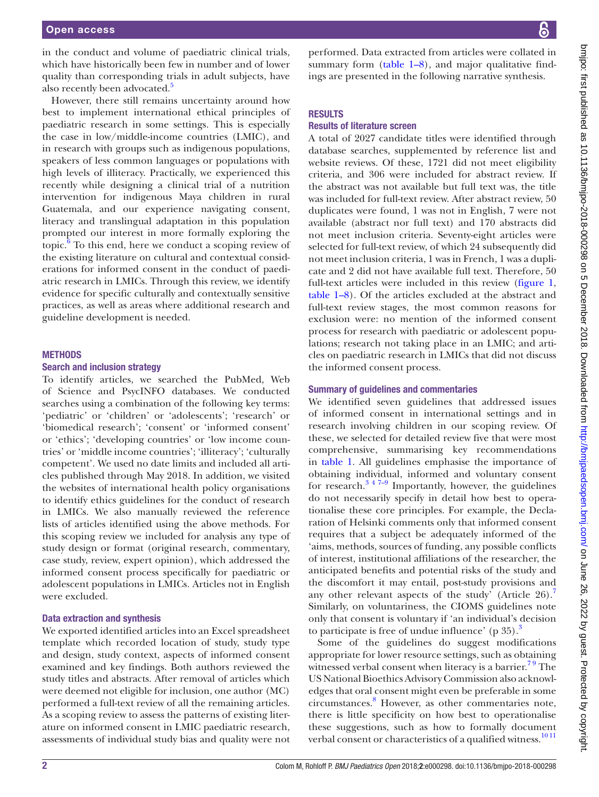in the conduct and volume of paediatric clinical trials, which have historically been few in number and of lower quality than corresponding trials in adult subjects, have also recently been advocated.<sup>5</sup>

However, there still remains uncertainty around how best to implement international ethical principles of paediatric research in some settings. This is especially the case in low/middle-income countries (LMIC), and in research with groups such as indigenous populations, speakers of less common languages or populations with high levels of illiteracy. Practically, we experienced this recently while designing a clinical trial of a nutrition intervention for indigenous Maya children in rural Guatemala, and our experience navigating consent, literacy and translingual adaptation in this population prompted our interest in more formally exploring the topic. $\frac{6}{6}$  $\frac{6}{6}$  $\frac{6}{6}$  To this end, here we conduct a scoping review of the existing literature on cultural and contextual considerations for informed consent in the conduct of paediatric research in LMICs. Through this review, we identify evidence for specific culturally and contextually sensitive practices, as well as areas where additional research and guideline development is needed.

#### **METHODS**

## Search and inclusion strategy

To identify articles, we searched the PubMed, Web of Science and PsycINFO databases. We conducted searches using a combination of the following key terms: 'pediatric' or 'children' or 'adolescents'; 'research' or 'biomedical research'; 'consent' or 'informed consent' or 'ethics'; 'developing countries' or 'low income countries' or 'middle income countries'; 'illiteracy'; 'culturally competent'. We used no date limits and included all articles published through May 2018. In addition, we visited the websites of international health policy organisations to identify ethics guidelines for the conduct of research in LMICs. We also manually reviewed the reference lists of articles identified using the above methods. For this scoping review we included for analysis any type of study design or format (original research, commentary, case study, review, expert opinion), which addressed the informed consent process specifically for paediatric or adolescent populations in LMICs. Articles not in English were excluded.

#### Data extraction and synthesis

We exported identified articles into an Excel spreadsheet template which recorded location of study, study type and design, study context, aspects of informed consent examined and key findings. Both authors reviewed the study titles and abstracts. After removal of articles which were deemed not eligible for inclusion, one author (MC) performed a full-text review of all the remaining articles. As a scoping review to assess the patterns of existing literature on informed consent in LMIC paediatric research, assessments of individual study bias and quality were not

performed. Data extracted from articles were collated in summary form  $(table 1-8)$  $(table 1-8)$  $(table 1-8)$ , and major qualitative findings are presented in the following narrative synthesis.

#### **RESULTS**

#### Results of literature screen

A total of 2027 candidate titles were identified through database searches, supplemented by reference list and website reviews. Of these, 1721 did not meet eligibility criteria, and 306 were included for abstract review. If the abstract was not available but full text was, the title was included for full-text review. After abstract review, 50 duplicates were found, 1 was not in English, 7 were not available (abstract nor full text) and 170 abstracts did not meet inclusion criteria. Seventy-eight articles were selected for full-text review, of which 24 subsequently did not meet inclusion criteria, 1 was in French, 1 was a duplicate and 2 did not have available full text. Therefore, 50 full-text articles were included in this review [\(figure](#page-11-0) 1, [table](#page-2-0) 1–8). Of the articles excluded at the abstract and full-text review stages, the most common reasons for exclusion were: no mention of the informed consent process for research with paediatric or adolescent populations; research not taking place in an LMIC; and articles on paediatric research in LMICs that did not discuss the informed consent process.

#### Summary of guidelines and commentaries

We identified seven guidelines that addressed issues of informed consent in international settings and in research involving children in our scoping review. Of these, we selected for detailed review five that were most comprehensive, summarising key recommendations in [table](#page-2-0) 1. All guidelines emphasise the importance of obtaining individual, informed and voluntary consent for research. $3 \frac{47-9}{7}$  Importantly, however, the guidelines do not necessarily specify in detail how best to operationalise these core principles. For example, the Declaration of Helsinki comments only that informed consent requires that a subject be adequately informed of the 'aims, methods, sources of funding, any possible conflicts of interest, institutional affiliations of the researcher, the anticipated benefits and potential risks of the study and the discomfort it may entail, post-study provisions and any other relevant aspects of the study' (Article  $26$ ).<sup>[7](#page-12-5)</sup> Similarly, on voluntariness, the CIOMS guidelines note only that consent is voluntary if 'an individual's decision to participate is free of undue influence' (p  $35$  $35$ ).<sup>3</sup>

Some of the guidelines do suggest modifications appropriate for lower resource settings, such as obtaining witnessed verbal consent when literacy is a barrier.<sup>79</sup> The US National Bioethics Advisory Commission also acknowledges that oral consent might even be preferable in some circumstances.[8](#page-12-6) However, as other commentaries note, there is little specificity on how best to operationalise these suggestions, such as how to formally document verbal consent or characteristics of a qualified witness.<sup>1011</sup>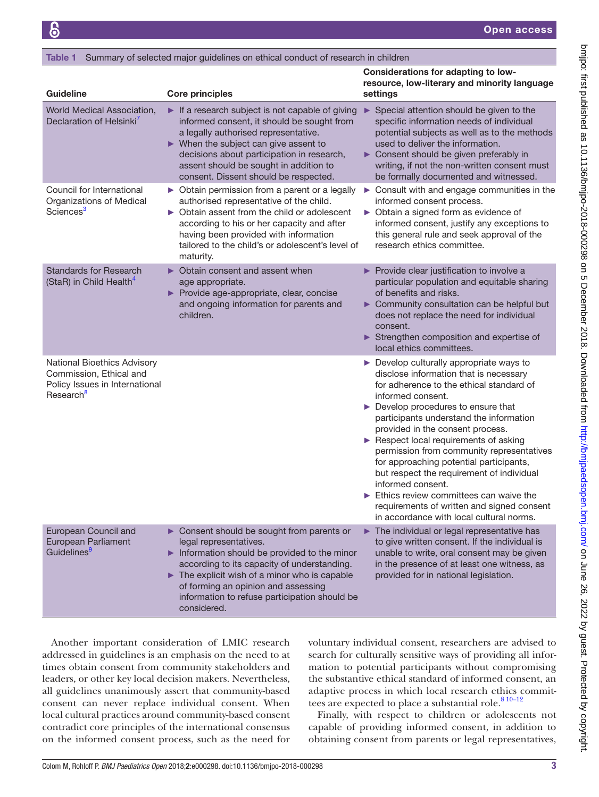#### <span id="page-2-0"></span>Table 1 Summary of selected major guidelines on ethical conduct of research in children

| <b>Guideline</b>                                                                                                  | <b>Core principles</b>                                                                                                                                                                                                                                                                                                                       | <b>Considerations for adapting to low-</b><br>resource, low-literary and minority language<br>settings                                                                                                                                                                                                                                                                                                                                                                                                                                                                                                                                             |
|-------------------------------------------------------------------------------------------------------------------|----------------------------------------------------------------------------------------------------------------------------------------------------------------------------------------------------------------------------------------------------------------------------------------------------------------------------------------------|----------------------------------------------------------------------------------------------------------------------------------------------------------------------------------------------------------------------------------------------------------------------------------------------------------------------------------------------------------------------------------------------------------------------------------------------------------------------------------------------------------------------------------------------------------------------------------------------------------------------------------------------------|
| World Medical Association,<br>Declaration of Helsinki <sup>7</sup>                                                | If a research subject is not capable of giving<br>informed consent, it should be sought from<br>a legally authorised representative.<br>$\triangleright$ When the subject can give assent to<br>decisions about participation in research,<br>assent should be sought in addition to<br>consent. Dissent should be respected.                | Special attention should be given to the<br>▶<br>specific information needs of individual<br>potential subjects as well as to the methods<br>used to deliver the information.<br>Consent should be given preferably in<br>writing, if not the non-written consent must<br>be formally documented and witnessed.                                                                                                                                                                                                                                                                                                                                    |
| Council for International<br>Organizations of Medical<br>Sciences <sup>3</sup>                                    | > Obtain permission from a parent or a legally<br>authorised representative of the child.<br>▶ Obtain assent from the child or adolescent<br>according to his or her capacity and after<br>having been provided with information<br>tailored to the child's or adolescent's level of<br>maturity.                                            | $\triangleright$ Consult with and engage communities in the<br>informed consent process.<br>▶ Obtain a signed form as evidence of<br>informed consent, justify any exceptions to<br>this general rule and seek approval of the<br>research ethics committee.                                                                                                                                                                                                                                                                                                                                                                                       |
| <b>Standards for Research</b><br>(StaR) in Child Health <sup>4</sup>                                              | ▶ Obtain consent and assent when<br>age appropriate.<br>Provide age-appropriate, clear, concise<br>and ongoing information for parents and<br>children.                                                                                                                                                                                      | Provide clear justification to involve a<br>particular population and equitable sharing<br>of benefits and risks.<br>Community consultation can be helpful but<br>does not replace the need for individual<br>consent.<br>Strengthen composition and expertise of<br>local ethics committees.                                                                                                                                                                                                                                                                                                                                                      |
| National Bioethics Advisory<br>Commission, Ethical and<br>Policy Issues in International<br>Research <sup>8</sup> |                                                                                                                                                                                                                                                                                                                                              | $\triangleright$ Develop culturally appropriate ways to<br>disclose information that is necessary<br>for adherence to the ethical standard of<br>informed consent.<br>Develop procedures to ensure that<br>participants understand the information<br>provided in the consent process.<br>Respect local requirements of asking<br>permission from community representatives<br>for approaching potential participants,<br>but respect the requirement of individual<br>informed consent.<br>$\blacktriangleright$ Ethics review committees can waive the<br>requirements of written and signed consent<br>in accordance with local cultural norms. |
| European Council and<br>European Parliament<br>Guidelines <sup>9</sup>                                            | Consent should be sought from parents or<br>legal representatives.<br>Information should be provided to the minor<br>according to its capacity of understanding.<br>$\blacktriangleright$ The explicit wish of a minor who is capable<br>of forming an opinion and assessing<br>information to refuse participation should be<br>considered. | $\blacktriangleright$ The individual or legal representative has<br>to give written consent. If the individual is<br>unable to write, oral consent may be given<br>in the presence of at least one witness, as<br>provided for in national legislation.                                                                                                                                                                                                                                                                                                                                                                                            |

Another important consideration of LMIC research addressed in guidelines is an emphasis on the need to at times obtain consent from community stakeholders and leaders, or other key local decision makers. Nevertheless, all guidelines unanimously assert that community-based consent can never replace individual consent. When local cultural practices around community-based consent contradict core principles of the international consensus on the informed consent process, such as the need for

voluntary individual consent, researchers are advised to search for culturally sensitive ways of providing all information to potential participants without compromising the substantive ethical standard of informed consent, an adaptive process in which local research ethics committees are expected to place a substantial role. $810-12$ 

Finally, with respect to children or adolescents not capable of providing informed consent, in addition to obtaining consent from parents or legal representatives,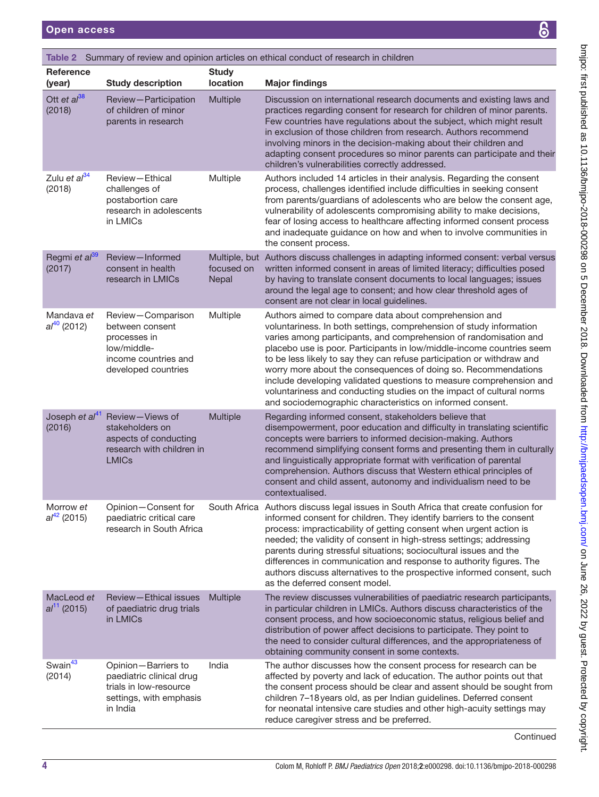| i                                               |
|-------------------------------------------------|
|                                                 |
| .<br>.<br>.<br>.                                |
|                                                 |
|                                                 |
| <b>Additional Contracts</b>                     |
| $\vdots$<br>۱                                   |
|                                                 |
|                                                 |
| ;                                               |
|                                                 |
|                                                 |
| $\frac{2}{3}$                                   |
|                                                 |
|                                                 |
|                                                 |
| $\sum_{i=1}^{\infty}$                           |
|                                                 |
|                                                 |
| )<br>)<br>)                                     |
|                                                 |
| .<br>.<br>.                                     |
| l<br>$\overline{\phantom{a}}$                   |
|                                                 |
|                                                 |
|                                                 |
|                                                 |
| $\ddot{\phantom{0}}$                            |
|                                                 |
| J                                               |
| $\frac{1}{2}$                                   |
|                                                 |
|                                                 |
|                                                 |
|                                                 |
|                                                 |
| ンク イクーク うらうれらう クニーク げんらうこうりこ れつこうこ げつきここうえんりょこう |
|                                                 |
|                                                 |
| ì                                               |
|                                                 |
|                                                 |
|                                                 |
|                                                 |
| <b>FILE THE CONSIDERABLE</b>                    |
|                                                 |
|                                                 |
|                                                 |
|                                                 |
|                                                 |
| :                                               |
|                                                 |
|                                                 |
|                                                 |
|                                                 |
| ו<br>ו                                          |
|                                                 |
|                                                 |
|                                                 |
|                                                 |
| I                                               |
|                                                 |
|                                                 |
|                                                 |
|                                                 |
|                                                 |
|                                                 |
|                                                 |

<span id="page-3-0"></span>

| Table 2 Summary of review and opinion articles on ethical conduct of research in children |                                                                                                                    |                          |                                                                                                                                                                                                                                                                                                                                                                                                                                                                                                                                                                                                                                    |  |
|-------------------------------------------------------------------------------------------|--------------------------------------------------------------------------------------------------------------------|--------------------------|------------------------------------------------------------------------------------------------------------------------------------------------------------------------------------------------------------------------------------------------------------------------------------------------------------------------------------------------------------------------------------------------------------------------------------------------------------------------------------------------------------------------------------------------------------------------------------------------------------------------------------|--|
| <b>Reference</b><br>(year)                                                                | <b>Study description</b>                                                                                           | <b>Study</b><br>location | <b>Major findings</b>                                                                                                                                                                                                                                                                                                                                                                                                                                                                                                                                                                                                              |  |
| Ott et $a^{38}$<br>(2018)                                                                 | Review-Participation<br>of children of minor<br>parents in research                                                | Multiple                 | Discussion on international research documents and existing laws and<br>practices regarding consent for research for children of minor parents.<br>Few countries have regulations about the subject, which might result<br>in exclusion of those children from research. Authors recommend<br>involving minors in the decision-making about their children and<br>adapting consent procedures so minor parents can participate and their<br>children's vulnerabilities correctly addressed.                                                                                                                                        |  |
| Zulu et al <sup>34</sup><br>(2018)                                                        | Review-Ethical<br>challenges of<br>postabortion care<br>research in adolescents<br>in LMICs                        | Multiple                 | Authors included 14 articles in their analysis. Regarding the consent<br>process, challenges identified include difficulties in seeking consent<br>from parents/guardians of adolescents who are below the consent age,<br>vulnerability of adolescents compromising ability to make decisions,<br>fear of losing access to healthcare affecting informed consent process<br>and inadequate guidance on how and when to involve communities in<br>the consent process.                                                                                                                                                             |  |
| Regmi et al <sup>39</sup><br>(2017)                                                       | Review-Informed<br>consent in health<br>research in LMICs                                                          | focused on<br>Nepal      | Multiple, but Authors discuss challenges in adapting informed consent: verbal versus<br>written informed consent in areas of limited literacy; difficulties posed<br>by having to translate consent documents to local languages; issues<br>around the legal age to consent; and how clear threshold ages of<br>consent are not clear in local guidelines.                                                                                                                                                                                                                                                                         |  |
| Mandava et<br>$al^{40}$ (2012)                                                            | Review-Comparison<br>between consent<br>processes in<br>low/middle-<br>income countries and<br>developed countries | Multiple                 | Authors aimed to compare data about comprehension and<br>voluntariness. In both settings, comprehension of study information<br>varies among participants, and comprehension of randomisation and<br>placebo use is poor. Participants in low/middle-income countries seem<br>to be less likely to say they can refuse participation or withdraw and<br>worry more about the consequences of doing so. Recommendations<br>include developing validated questions to measure comprehension and<br>voluntariness and conducting studies on the impact of cultural norms<br>and sociodemographic characteristics on informed consent. |  |
| Joseph et $al^{41}$<br>(2016)                                                             | Review-Views of<br>stakeholders on<br>aspects of conducting<br>research with children in<br><b>LMICs</b>           | Multiple                 | Regarding informed consent, stakeholders believe that<br>disempowerment, poor education and difficulty in translating scientific<br>concepts were barriers to informed decision-making. Authors<br>recommend simplifying consent forms and presenting them in culturally<br>and linguistically appropriate format with verification of parental<br>comprehension. Authors discuss that Western ethical principles of<br>consent and child assent, autonomy and individualism need to be<br>contextualised.                                                                                                                         |  |
| Morrow et<br>$al^{42}$ (2015)                                                             | Opinion-Consent for<br>paediatric critical care<br>research in South Africa                                        |                          | South Africa Authors discuss legal issues in South Africa that create confusion for<br>informed consent for children. They identify barriers to the consent<br>process: impracticability of getting consent when urgent action is<br>needed; the validity of consent in high-stress settings; addressing<br>parents during stressful situations; sociocultural issues and the<br>differences in communication and response to authority figures. The<br>authors discuss alternatives to the prospective informed consent, such<br>as the deferred consent model.                                                                   |  |
| MacLeod et<br>$al^{11}$ (2015)                                                            | Review-Ethical issues<br>of paediatric drug trials<br>in LMICs                                                     | <b>Multiple</b>          | The review discusses vulnerabilities of paediatric research participants,<br>in particular children in LMICs. Authors discuss characteristics of the<br>consent process, and how socioeconomic status, religious belief and<br>distribution of power affect decisions to participate. They point to<br>the need to consider cultural differences, and the appropriateness of<br>obtaining community consent in some contexts.                                                                                                                                                                                                      |  |
| Swain <sup>43</sup><br>(2014)                                                             | Opinion-Barriers to<br>paediatric clinical drug<br>trials in low-resource<br>settings, with emphasis<br>in India   | India                    | The author discusses how the consent process for research can be<br>affected by poverty and lack of education. The author points out that<br>the consent process should be clear and assent should be sought from<br>children 7-18 years old, as per Indian guidelines. Deferred consent<br>for neonatal intensive care studies and other high-acuity settings may<br>reduce caregiver stress and be preferred.                                                                                                                                                                                                                    |  |

Continued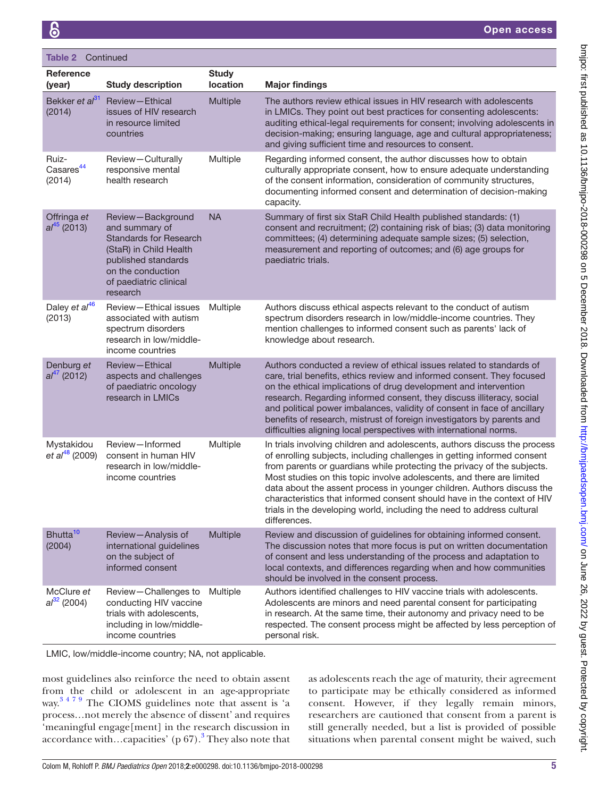| <b>Table 2 Continued</b>                 |                                                                                                                                                                                  |                          |                                                                                                                                                                                                                                                                                                                                                                                                                                                                                                                                                         |  |  |
|------------------------------------------|----------------------------------------------------------------------------------------------------------------------------------------------------------------------------------|--------------------------|---------------------------------------------------------------------------------------------------------------------------------------------------------------------------------------------------------------------------------------------------------------------------------------------------------------------------------------------------------------------------------------------------------------------------------------------------------------------------------------------------------------------------------------------------------|--|--|
| <b>Reference</b><br>(year)               | <b>Study description</b>                                                                                                                                                         | <b>Study</b><br>location | <b>Major findings</b>                                                                                                                                                                                                                                                                                                                                                                                                                                                                                                                                   |  |  |
| Bekker et al <sup>31</sup><br>(2014)     | Review-Ethical<br>issues of HIV research<br>in resource limited<br>countries                                                                                                     | <b>Multiple</b>          | The authors review ethical issues in HIV research with adolescents<br>in LMICs. They point out best practices for consenting adolescents:<br>auditing ethical-legal requirements for consent; involving adolescents in<br>decision-making; ensuring language, age and cultural appropriateness;<br>and giving sufficient time and resources to consent.                                                                                                                                                                                                 |  |  |
| Ruiz-<br>Casares <sup>44</sup><br>(2014) | Review-Culturally<br>responsive mental<br>health research                                                                                                                        | Multiple                 | Regarding informed consent, the author discusses how to obtain<br>culturally appropriate consent, how to ensure adequate understanding<br>of the consent information, consideration of community structures,<br>documenting informed consent and determination of decision-making<br>capacity.                                                                                                                                                                                                                                                          |  |  |
| Offringa et<br>$al^{45}$ (2013)          | Review-Background<br>and summary of<br><b>Standards for Research</b><br>(StaR) in Child Health<br>published standards<br>on the conduction<br>of paediatric clinical<br>research | <b>NA</b>                | Summary of first six StaR Child Health published standards: (1)<br>consent and recruitment; (2) containing risk of bias; (3) data monitoring<br>committees; (4) determining adequate sample sizes; (5) selection,<br>measurement and reporting of outcomes; and (6) age groups for<br>paediatric trials.                                                                                                                                                                                                                                                |  |  |
| Daley et al <sup>46</sup><br>(2013)      | Review-Ethical issues<br>associated with autism<br>spectrum disorders<br>research in low/middle-<br>income countries                                                             | Multiple                 | Authors discuss ethical aspects relevant to the conduct of autism<br>spectrum disorders research in low/middle-income countries. They<br>mention challenges to informed consent such as parents' lack of<br>knowledge about research.                                                                                                                                                                                                                                                                                                                   |  |  |
| Denburg et<br>$al^{47}$ (2012)           | Review-Ethical<br>aspects and challenges<br>of paediatric oncology<br>research in LMICs                                                                                          | Multiple                 | Authors conducted a review of ethical issues related to standards of<br>care, trial benefits, ethics review and informed consent. They focused<br>on the ethical implications of drug development and intervention<br>research. Regarding informed consent, they discuss illiteracy, social<br>and political power imbalances, validity of consent in face of ancillary<br>benefits of research, mistrust of foreign investigators by parents and<br>difficulties aligning local perspectives with international norms.                                 |  |  |
| Mystakidou<br>et al <sup>48</sup> (2009) | Review-Informed<br>consent in human HIV<br>research in low/middle-<br>income countries                                                                                           | Multiple                 | In trials involving children and adolescents, authors discuss the process<br>of enrolling subjects, including challenges in getting informed consent<br>from parents or guardians while protecting the privacy of the subjects.<br>Most studies on this topic involve adolescents, and there are limited<br>data about the assent process in younger children. Authors discuss the<br>characteristics that informed consent should have in the context of HIV<br>trials in the developing world, including the need to address cultural<br>differences. |  |  |
| Bhutta <sup>10</sup><br>(2004)           | Review-Analysis of<br>international guidelines<br>on the subject of<br>informed consent                                                                                          | Multiple                 | Review and discussion of guidelines for obtaining informed consent.<br>The discussion notes that more focus is put on written documentation<br>of consent and less understanding of the process and adaptation to<br>local contexts, and differences regarding when and how communities<br>should be involved in the consent process.                                                                                                                                                                                                                   |  |  |
| McClure et<br>$al32$ (2004)              | Review-Challenges to<br>conducting HIV vaccine<br>trials with adolescents,<br>including in low/middle-<br>income countries                                                       | Multiple                 | Authors identified challenges to HIV vaccine trials with adolescents.<br>Adolescents are minors and need parental consent for participating<br>in research. At the same time, their autonomy and privacy need to be<br>respected. The consent process might be affected by less perception of<br>personal risk.                                                                                                                                                                                                                                         |  |  |

LMIC, low/middle-income country; NA, not applicable.

most guidelines also reinforce the need to obtain assent from the child or adolescent in an age-appropriate way.<sup>3479</sup> The CIOMS guidelines note that assent is 'a process…not merely the absence of dissent' and requires 'meaningful engage[ment] in the research discussion in accordance with...capacities' (p  $67$ ).<sup>[3](#page-12-2)</sup> They also note that as adolescents reach the age of maturity, their agreement to participate may be ethically considered as informed consent. However, if they legally remain minors, researchers are cautioned that consent from a parent is still generally needed, but a list is provided of possible situations when parental consent might be waived, such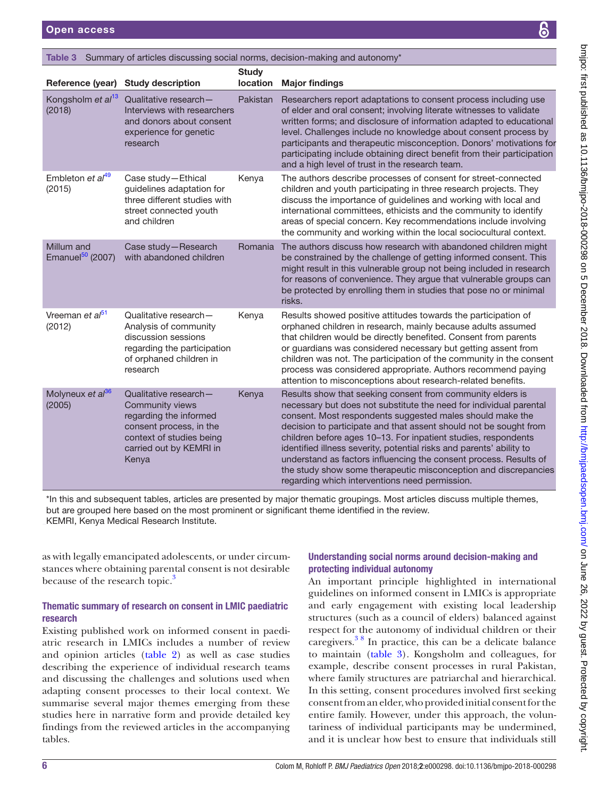<span id="page-5-0"></span>

| <b>Open access</b>                      |                                                                                                                                                               |                          | $\bullet$                                                                                                                                                                                                                                                                                                                                                                                                                                                                                                                                            |
|-----------------------------------------|---------------------------------------------------------------------------------------------------------------------------------------------------------------|--------------------------|------------------------------------------------------------------------------------------------------------------------------------------------------------------------------------------------------------------------------------------------------------------------------------------------------------------------------------------------------------------------------------------------------------------------------------------------------------------------------------------------------------------------------------------------------|
|                                         |                                                                                                                                                               |                          | Table 3 Summary of articles discussing social norms, decision-making and autonomy*                                                                                                                                                                                                                                                                                                                                                                                                                                                                   |
|                                         | Reference (year) Study description                                                                                                                            | <b>Study</b><br>location | <b>Major findings</b>                                                                                                                                                                                                                                                                                                                                                                                                                                                                                                                                |
| Kongsholm et al <sup>13</sup><br>(2018) | Qualitative research-<br>Interviews with researchers<br>and donors about consent<br>experience for genetic<br>research                                        | Pakistan                 | Researchers report adaptations to consent process including use<br>of elder and oral consent; involving literate witnesses to validate<br>written forms; and disclosure of information adapted to educational<br>level. Challenges include no knowledge about consent process by<br>participants and therapeutic misconception. Donors' motivations for<br>participating include obtaining direct benefit from their participation<br>and a high level of trust in the research team.                                                                |
| Embleton et al <sup>49</sup><br>(2015)  | Case study-Ethical<br>guidelines adaptation for<br>three different studies with<br>street connected youth<br>and children                                     | Kenya                    | The authors describe processes of consent for street-connected<br>children and youth participating in three research projects. They<br>discuss the importance of guidelines and working with local and<br>international committees, ethicists and the community to identify<br>areas of special concern. Key recommendations include involving<br>the community and working within the local sociocultural context.                                                                                                                                  |
| Millum and<br>Emanuel $50$ (2007)       | Case study-Research<br>with abandoned children                                                                                                                | Romania                  | The authors discuss how research with abandoned children might<br>be constrained by the challenge of getting informed consent. This<br>might result in this vulnerable group not being included in research<br>for reasons of convenience. They argue that vulnerable groups can<br>be protected by enrolling them in studies that pose no or minimal<br>risks.                                                                                                                                                                                      |
| Vreeman et al <sup>51</sup><br>(2012)   | Qualitative research-<br>Analysis of community<br>discussion sessions<br>regarding the participation<br>of orphaned children in<br>research                   | Kenya                    | Results showed positive attitudes towards the participation of<br>orphaned children in research, mainly because adults assumed<br>that children would be directly benefited. Consent from parents<br>or guardians was considered necessary but getting assent from<br>children was not. The participation of the community in the consent<br>process was considered appropriate. Authors recommend paying<br>attention to misconceptions about research-related benefits.                                                                            |
| Molyneux et al <sup>36</sup><br>(2005)  | Qualitative research-<br>Community views<br>regarding the informed<br>consent process, in the<br>context of studies being<br>carried out by KEMRI in<br>Kenya | Kenya                    | Results show that seeking consent from community elders is<br>necessary but does not substitute the need for individual parental<br>consent. Most respondents suggested males should make the<br>decision to participate and that assent should not be sought from<br>children before ages 10-13. For inpatient studies, respondents<br>identified illness severity, potential risks and parents' ability to<br>understand as factors influencing the consent process. Results of<br>the study show some therapeutic misconception and discrepancies |

\*In this and subsequent tables, articles are presented by major thematic groupings. Most articles discuss multiple themes, but are grouped here based on the most prominent or significant theme identified in the review. KEMRI, Kenya Medical Research Institute.

as with legally emancipated adolescents, or under circumstances where obtaining parental consent is not desirable because of the research topic.<sup>3</sup>

## Thematic summary of research on consent in LMIC paediatric research

Existing published work on informed consent in paediatric research in LMICs includes a number of review and opinion articles [\(table](#page-3-0) 2) as well as case studies describing the experience of individual research teams and discussing the challenges and solutions used when adapting consent processes to their local context. We summarise several major themes emerging from these studies here in narrative form and provide detailed key findings from the reviewed articles in the accompanying tables.

## Understanding social norms around decision-making and protecting individual autonomy

regarding which interventions need permission.

An important principle highlighted in international guidelines on informed consent in LMICs is appropriate and early engagement with existing local leadership structures (such as a council of elders) balanced against respect for the autonomy of individual children or their caregivers.[3 8](#page-12-2) In practice, this can be a delicate balance to maintain ([table](#page-5-0) 3). Kongsholm and colleagues, for example, describe consent processes in rural Pakistan, where family structures are patriarchal and hierarchical. In this setting, consent procedures involved first seeking consent from an elder, who provided initial consent for the entire family. However, under this approach, the voluntariness of individual participants may be undermined, and it is unclear how best to ensure that individuals still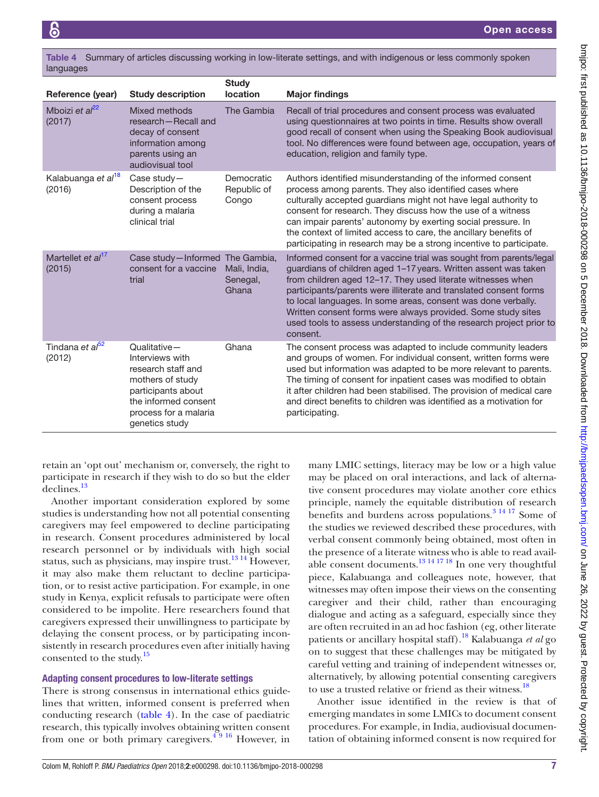<span id="page-6-0"></span>

|           | Table 4 Summary of articles discussing working in low-literate settings, and with indigenous or less commonly spoken |
|-----------|----------------------------------------------------------------------------------------------------------------------|
| languages |                                                                                                                      |

| Reference (year)                         | <b>Study description</b>                                                                                                                                           | <b>Study</b><br>location           | <b>Major findings</b>                                                                                                                                                                                                                                                                                                                                                                                                                                                                         |
|------------------------------------------|--------------------------------------------------------------------------------------------------------------------------------------------------------------------|------------------------------------|-----------------------------------------------------------------------------------------------------------------------------------------------------------------------------------------------------------------------------------------------------------------------------------------------------------------------------------------------------------------------------------------------------------------------------------------------------------------------------------------------|
| Mboizi et $al^{22}$<br>(2017)            | Mixed methods<br>research-Recall and<br>decay of consent<br>information among<br>parents using an<br>audiovisual tool                                              | The Gambia                         | Recall of trial procedures and consent process was evaluated<br>using questionnaires at two points in time. Results show overall<br>good recall of consent when using the Speaking Book audiovisual<br>tool. No differences were found between age, occupation, years of<br>education, religion and family type.                                                                                                                                                                              |
| Kalabuanga et al <sup>18</sup><br>(2016) | Case study $-$<br>Description of the<br>consent process<br>during a malaria<br>clinical trial                                                                      | Democratic<br>Republic of<br>Congo | Authors identified misunderstanding of the informed consent<br>process among parents. They also identified cases where<br>culturally accepted guardians might not have legal authority to<br>consent for research. They discuss how the use of a witness<br>can impair parents' autonomy by exerting social pressure. In<br>the context of limited access to care, the ancillary benefits of<br>participating in research may be a strong incentive to participate.                           |
| Martellet et al <sup>17</sup><br>(2015)  | Case study-Informed The Gambia,<br>consent for a vaccine<br>trial                                                                                                  | Mali, India,<br>Senegal,<br>Ghana  | Informed consent for a vaccine trial was sought from parents/legal<br>guardians of children aged 1-17 years. Written assent was taken<br>from children aged 12-17. They used literate witnesses when<br>participants/parents were illiterate and translated consent forms<br>to local languages. In some areas, consent was done verbally.<br>Written consent forms were always provided. Some study sites<br>used tools to assess understanding of the research project prior to<br>consent. |
| Tindana et al <sup>52</sup><br>(2012)    | Qualitative-<br>Interviews with<br>research staff and<br>mothers of study<br>participants about<br>the informed consent<br>process for a malaria<br>genetics study | Ghana                              | The consent process was adapted to include community leaders<br>and groups of women. For individual consent, written forms were<br>used but information was adapted to be more relevant to parents.<br>The timing of consent for inpatient cases was modified to obtain<br>it after children had been stabilised. The provision of medical care<br>and direct benefits to children was identified as a motivation for<br>participating.                                                       |

retain an 'opt out' mechanism or, conversely, the right to participate in research if they wish to do so but the elder declines[.13](#page-12-11)

Another important consideration explored by some studies is understanding how not all potential consenting caregivers may feel empowered to decline participating in research. Consent procedures administered by local research personnel or by individuals with high social status, such as physicians, may inspire trust.<sup>13 14</sup> However, it may also make them reluctant to decline participation, or to resist active participation. For example, in one study in Kenya, explicit refusals to participate were often considered to be impolite. Here researchers found that caregivers expressed their unwillingness to participate by delaying the consent process, or by participating inconsistently in research procedures even after initially having consented to the study.<sup>15</sup>

### Adapting consent procedures to low-literate settings

There is strong consensus in international ethics guidelines that written, informed consent is preferred when conducting research ([table](#page-6-0) 4). In the case of paediatric research, this typically involves obtaining written consent from one or both primary caregivers. $4\frac{4}{9}$  16 However, in

many LMIC settings, literacy may be low or a high value may be placed on oral interactions, and lack of alternative consent procedures may violate another core ethics principle, namely the equitable distribution of research benefits and burdens across populations.<sup>[3 14 17](#page-12-2)</sup> Some of the studies we reviewed described these procedures, with verbal consent commonly being obtained, most often in the presence of a literate witness who is able to read available consent documents. $^{13}$  14 17 18 In one very thoughtful piece, Kalabuanga and colleagues note, however, that witnesses may often impose their views on the consenting caregiver and their child, rather than encouraging dialogue and acting as a safeguard, especially since they are often recruited in an ad hoc fashion (eg, other literate patients or ancillary hospital staff)[.18](#page-12-13) Kalabuanga *et al* go on to suggest that these challenges may be mitigated by careful vetting and training of independent witnesses or, alternatively, by allowing potential consenting caregivers to use a trusted relative or friend as their witness.<sup>[18](#page-12-13)</sup>

Another issue identified in the review is that of emerging mandates in some LMICs to document consent procedures. For example, in India, audiovisual documentation of obtaining informed consent is now required for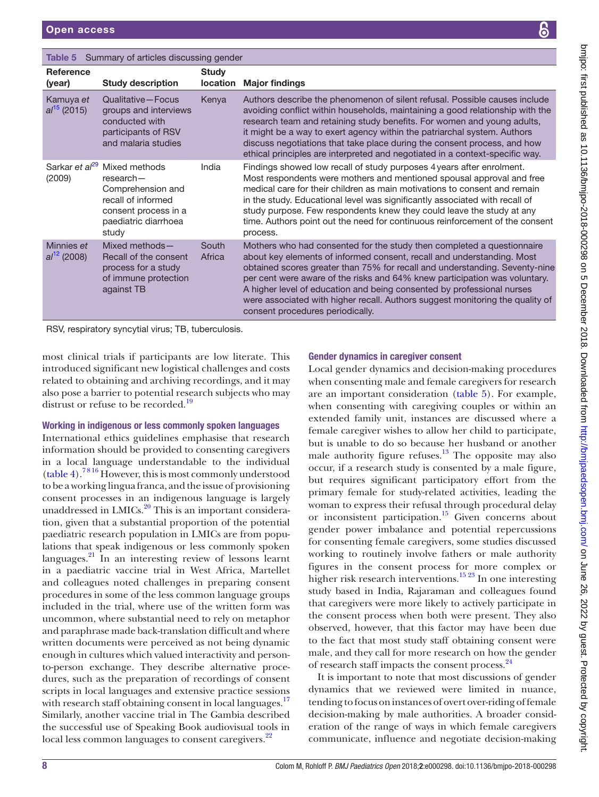<span id="page-7-0"></span>

| Summary of articles discussing gender<br>Table 5 |                                                                                                                                  |                                 |                                                                                                                                                                                                                                                                                                                                                                                                                                                                                                              |  |
|--------------------------------------------------|----------------------------------------------------------------------------------------------------------------------------------|---------------------------------|--------------------------------------------------------------------------------------------------------------------------------------------------------------------------------------------------------------------------------------------------------------------------------------------------------------------------------------------------------------------------------------------------------------------------------------------------------------------------------------------------------------|--|
| <b>Reference</b><br>(year)                       | <b>Study description</b>                                                                                                         | <b>Study</b><br><b>location</b> | <b>Major findings</b>                                                                                                                                                                                                                                                                                                                                                                                                                                                                                        |  |
| Kamuya et<br>$al^{15}$ (2015)                    | Qualitative-Focus<br>groups and interviews<br>conducted with<br>participants of RSV<br>and malaria studies                       | Kenya                           | Authors describe the phenomenon of silent refusal. Possible causes include<br>avoiding conflict within households, maintaining a good relationship with the<br>research team and retaining study benefits. For women and young adults,<br>it might be a way to exert agency within the patriarchal system. Authors<br>discuss negotiations that take place during the consent process, and how<br>ethical principles are interpreted and negotiated in a context-specific way.                               |  |
| Sarkar et al <sup>29</sup><br>(2009)             | Mixed methods<br>$research-$<br>Comprehension and<br>recall of informed<br>consent process in a<br>paediatric diarrhoea<br>study | India                           | Findings showed low recall of study purposes 4 years after enrolment.<br>Most respondents were mothers and mentioned spousal approval and free<br>medical care for their children as main motivations to consent and remain<br>in the study. Educational level was significantly associated with recall of<br>study purpose. Few respondents knew they could leave the study at any<br>time. Authors point out the need for continuous reinforcement of the consent<br>process.                              |  |
| Minnies et<br>$al^{12}$ (2008)                   | Mixed methods-<br>Recall of the consent<br>process for a study<br>of immune protection<br>against TB                             | South<br>Africa                 | Mothers who had consented for the study then completed a questionnaire<br>about key elements of informed consent, recall and understanding. Most<br>obtained scores greater than 75% for recall and understanding. Seventy-nine<br>per cent were aware of the risks and 64% knew participation was voluntary.<br>A higher level of education and being consented by professional nurses<br>were associated with higher recall. Authors suggest monitoring the quality of<br>consent procedures periodically. |  |

RSV, respiratory syncytial virus; TB, tuberculosis.

most clinical trials if participants are low literate. This introduced significant new logistical challenges and costs related to obtaining and archiving recordings, and it may also pose a barrier to potential research subjects who may distrust or refuse to be recorded.<sup>19</sup>

#### Working in indigenous or less commonly spoken languages

International ethics guidelines emphasise that research information should be provided to consenting caregivers in a local language understandable to the individual [\(table](#page-6-0) 4).[7 8 16](#page-12-5) However, this is most commonly understood to be a working lingua franca, and the issue of provisioning consent processes in an indigenous language is largely unaddressed in LMICs.<sup>20</sup> This is an important consideration, given that a substantial proportion of the potential paediatric research population in LMICs are from populations that speak indigenous or less commonly spoken languages.[21](#page-12-18) In an interesting review of lessons learnt in a paediatric vaccine trial in West Africa, Martellet and colleagues noted challenges in preparing consent procedures in some of the less common language groups included in the trial, where use of the written form was uncommon, where substantial need to rely on metaphor and paraphrase made back-translation difficult and where written documents were perceived as not being dynamic enough in cultures which valued interactivity and personto-person exchange. They describe alternative procedures, such as the preparation of recordings of consent scripts in local languages and extensive practice sessions with research staff obtaining consent in local languages.<sup>17</sup> Similarly, another vaccine trial in The Gambia described the successful use of Speaking Book audiovisual tools in local less common languages to consent caregivers.<sup>[22](#page-12-14)</sup>

## Gender dynamics in caregiver consent

Local gender dynamics and decision-making procedures when consenting male and female caregivers for research are an important consideration [\(table](#page-7-0) 5). For example, when consenting with caregiving couples or within an extended family unit, instances are discussed where a female caregiver wishes to allow her child to participate, but is unable to do so because her husband or another male authority figure refuses. $13$  The opposite may also occur, if a research study is consented by a male figure, but requires significant participatory effort from the primary female for study-related activities, leading the woman to express their refusal through procedural delay or inconsistent participation.<sup>15</sup> Given concerns about gender power imbalance and potential repercussions for consenting female caregivers, some studies discussed working to routinely involve fathers or male authority figures in the consent process for more complex or higher risk research interventions.<sup>[15 23](#page-12-12)</sup> In one interesting study based in India, Rajaraman and colleagues found that caregivers were more likely to actively participate in the consent process when both were present. They also observed, however, that this factor may have been due to the fact that most study staff obtaining consent were male, and they call for more research on how the gender of research staff impacts the consent process.<sup>[24](#page-12-19)</sup>

It is important to note that most discussions of gender dynamics that we reviewed were limited in nuance, tending to focus on instances of overt over-riding of female decision-making by male authorities. A broader consideration of the range of ways in which female caregivers communicate, influence and negotiate decision-making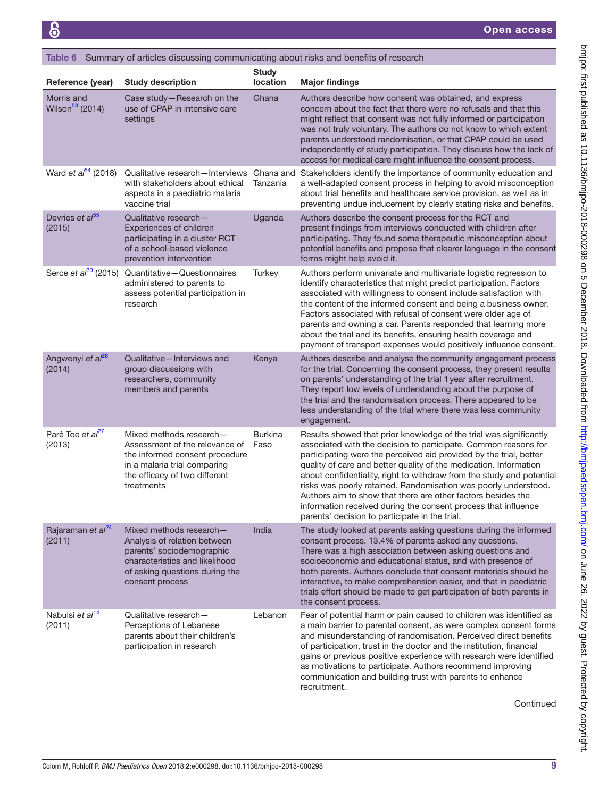<span id="page-8-0"></span>

| Table 6 Summary of articles discussing communicating about risks and benefits of research |                                                                                                                                                                             |                          |                                                                                                                                                                                                                                                                                                                                                                                                                                                                                                                                                                                                                  |  |
|-------------------------------------------------------------------------------------------|-----------------------------------------------------------------------------------------------------------------------------------------------------------------------------|--------------------------|------------------------------------------------------------------------------------------------------------------------------------------------------------------------------------------------------------------------------------------------------------------------------------------------------------------------------------------------------------------------------------------------------------------------------------------------------------------------------------------------------------------------------------------------------------------------------------------------------------------|--|
| Reference (year)                                                                          | <b>Study description</b>                                                                                                                                                    | <b>Study</b><br>location | <b>Major findings</b>                                                                                                                                                                                                                                                                                                                                                                                                                                                                                                                                                                                            |  |
| Morris and<br>Wilson <sup>53</sup> (2014)                                                 | Case study-Research on the<br>use of CPAP in intensive care<br>settings                                                                                                     | Ghana                    | Authors describe how consent was obtained, and express<br>concern about the fact that there were no refusals and that this<br>might reflect that consent was not fully informed or participation<br>was not truly voluntary. The authors do not know to which extent<br>parents understood randomisation, or that CPAP could be used<br>independently of study participation. They discuss how the lack of<br>access for medical care might influence the consent process.                                                                                                                                       |  |
| Ward et al <sup>54</sup> (2018)                                                           | Qualitative research-Interviews<br>with stakeholders about ethical<br>aspects in a paediatric malaria<br>vaccine trial                                                      | Tanzania                 | Ghana and Stakeholders identify the importance of community education and<br>a well-adapted consent process in helping to avoid misconception<br>about trial benefits and healthcare service provision, as well as in<br>preventing undue inducement by clearly stating risks and benefits.                                                                                                                                                                                                                                                                                                                      |  |
| Devries et al <sup>55</sup><br>(2015)                                                     | Qualitative research-<br>Experiences of children<br>participating in a cluster RCT<br>of a school-based violence<br>prevention intervention                                 | Uganda                   | Authors describe the consent process for the RCT and<br>present findings from interviews conducted with children after<br>participating. They found some therapeutic misconception about<br>potential benefits and propose that clearer language in the consent<br>forms might help avoid it.                                                                                                                                                                                                                                                                                                                    |  |
|                                                                                           | Serce et $a^{30}$ (2015) Quantitative - Questionnaires<br>administered to parents to<br>assess potential participation in<br>research                                       | Turkey                   | Authors perform univariate and multivariate logistic regression to<br>identify characteristics that might predict participation. Factors<br>associated with willingness to consent include satisfaction with<br>the content of the informed consent and being a business owner.<br>Factors associated with refusal of consent were older age of<br>parents and owning a car. Parents responded that learning more<br>about the trial and its benefits, ensuring health coverage and<br>payment of transport expenses would positively influence consent.                                                         |  |
| Angwenyi et al <sup>28</sup><br>(2014)                                                    | Qualitative-Interviews and<br>group discussions with<br>researchers, community<br>members and parents                                                                       | Kenya                    | Authors describe and analyse the community engagement process<br>for the trial. Concerning the consent process, they present results<br>on parents' understanding of the trial 1 year after recruitment.<br>They report low levels of understanding about the purpose of<br>the trial and the randomisation process. There appeared to be<br>less understanding of the trial where there was less community<br>engagement.                                                                                                                                                                                       |  |
| Paré Toe et al <sup>27</sup><br>(2013)                                                    | Mixed methods research-<br>Assessment of the relevance of<br>the informed consent procedure<br>in a malaria trial comparing<br>the efficacy of two different<br>treatments  | <b>Burkina</b><br>Faso   | Results showed that prior knowledge of the trial was significantly<br>associated with the decision to participate. Common reasons for<br>participating were the perceived aid provided by the trial, better<br>quality of care and better quality of the medication. Information<br>about confidentiality, right to withdraw from the study and potential<br>risks was poorly retained. Randomisation was poorly understood.<br>Authors aim to show that there are other factors besides the<br>information received during the consent process that influence<br>parents' decision to participate in the trial. |  |
| Rajaraman et al <sup>24</sup><br>(2011)                                                   | Mixed methods research-<br>Analysis of relation between<br>parents' sociodemographic<br>characteristics and likelihood<br>of asking questions during the<br>consent process | India                    | The study looked at parents asking questions during the informed<br>consent process. 13.4% of parents asked any questions.<br>There was a high association between asking questions and<br>socioeconomic and educational status, and with presence of<br>both parents. Authors conclude that consent materials should be<br>interactive, to make comprehension easier, and that in paediatric<br>trials effort should be made to get participation of both parents in<br>the consent process.                                                                                                                    |  |
| Nabulsi et al <sup>14</sup><br>(2011)                                                     | Qualitative research-<br>Perceptions of Lebanese<br>parents about their children's<br>participation in research                                                             | Lebanon                  | Fear of potential harm or pain caused to children was identified as<br>a main barrier to parental consent, as were complex consent forms<br>and misunderstanding of randomisation. Perceived direct benefits<br>of participation, trust in the doctor and the institution, financial<br>gains or previous positive experience with research were identified<br>as motivations to participate. Authors recommend improving<br>communication and building trust with parents to enhance<br>recruitment.                                                                                                            |  |

**Continued** 

on June 26, 2022 by guest. Protected by copyright. <http://bmjpaedsopen.bmj.com/> bmjpo: first published as 10.1136/bmjpo-2018-000298 on 5 December 2018. Downloaded from

bmipo: first published as 10.1136/bmipo-2018-000298 on 5 December 2018. Downloaded from http://bmipaedsopen.bmj.com/ on June 26, 2022 by guest. Protected by copyright.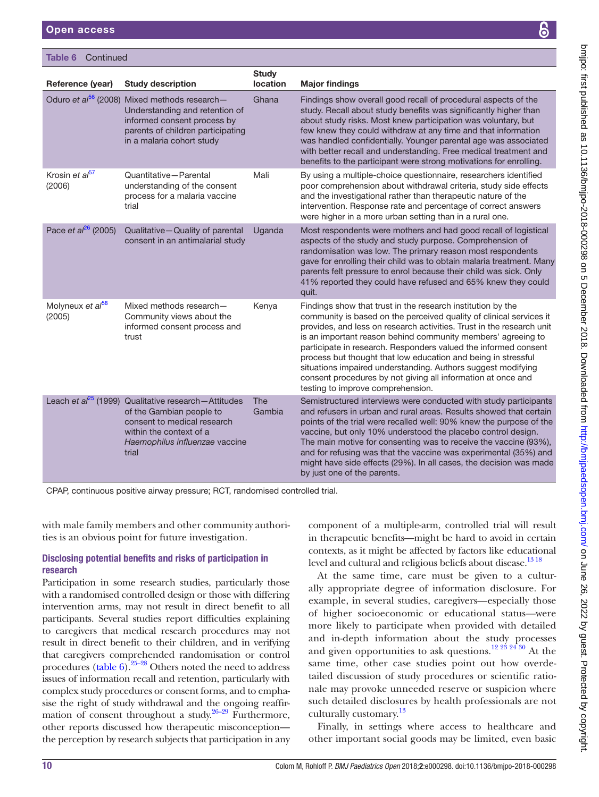#### Table 6 Continued

|                                                                                                                                 | <b>Study</b>                                                                                                                                      |                                                                                                                                                                                                                                                                                                                                                                                                                                                                                                                                                                                      |
|---------------------------------------------------------------------------------------------------------------------------------|---------------------------------------------------------------------------------------------------------------------------------------------------|--------------------------------------------------------------------------------------------------------------------------------------------------------------------------------------------------------------------------------------------------------------------------------------------------------------------------------------------------------------------------------------------------------------------------------------------------------------------------------------------------------------------------------------------------------------------------------------|
|                                                                                                                                 |                                                                                                                                                   | <b>Major findings</b>                                                                                                                                                                                                                                                                                                                                                                                                                                                                                                                                                                |
| Understanding and retention of<br>informed consent process by<br>parents of children participating<br>in a malaria cohort study |                                                                                                                                                   | Findings show overall good recall of procedural aspects of the<br>study. Recall about study benefits was significantly higher than<br>about study risks. Most knew participation was voluntary, but<br>few knew they could withdraw at any time and that information<br>was handled confidentially. Younger parental age was associated<br>with better recall and understanding. Free medical treatment and<br>benefits to the participant were strong motivations for enrolling.                                                                                                    |
| Quantitative-Parental<br>understanding of the consent<br>process for a malaria vaccine<br>trial                                 | Mali                                                                                                                                              | By using a multiple-choice questionnaire, researchers identified<br>poor comprehension about withdrawal criteria, study side effects<br>and the investigational rather than therapeutic nature of the<br>intervention. Response rate and percentage of correct answers<br>were higher in a more urban setting than in a rural one.                                                                                                                                                                                                                                                   |
| Qualitative-Quality of parental<br>consent in an antimalarial study                                                             | Uganda                                                                                                                                            | Most respondents were mothers and had good recall of logistical<br>aspects of the study and study purpose. Comprehension of<br>randomisation was low. The primary reason most respondents<br>gave for enrolling their child was to obtain malaria treatment. Many<br>parents felt pressure to enrol because their child was sick. Only<br>41% reported they could have refused and 65% knew they could<br>quit.                                                                                                                                                                      |
| Mixed methods research-<br>Community views about the<br>informed consent process and<br>trust                                   | Kenya                                                                                                                                             | Findings show that trust in the research institution by the<br>community is based on the perceived quality of clinical services it<br>provides, and less on research activities. Trust in the research unit<br>is an important reason behind community members' agreeing to<br>participate in research. Responders valued the informed consent<br>process but thought that low education and being in stressful<br>situations impaired understanding. Authors suggest modifying<br>consent procedures by not giving all information at once and<br>testing to improve comprehension. |
| of the Gambian people to<br>consent to medical research<br>within the context of a<br>Haemophilus influenzae vaccine<br>trial   | <b>The</b><br>Gambia                                                                                                                              | Semistructured interviews were conducted with study participants<br>and refusers in urban and rural areas. Results showed that certain<br>points of the trial were recalled well: 90% knew the purpose of the<br>vaccine, but only 10% understood the placebo control design.<br>The main motive for consenting was to receive the vaccine (93%),<br>and for refusing was that the vaccine was experimental (35%) and<br>might have side effects (29%). In all cases, the decision was made<br>by just one of the parents.                                                           |
|                                                                                                                                 | <b>Study description</b><br>Oduro et al <sup>56</sup> (2008) Mixed methods research-<br>Leach et $a^{25}$ (1999) Qualitative research - Attitudes | location<br>Ghana                                                                                                                                                                                                                                                                                                                                                                                                                                                                                                                                                                    |

with male family members and other community authori-

ties is an obvious point for future investigation.

## Disclosing potential benefits and risks of participation in research

Participation in some research studies, particularly those with a randomised controlled design or those with differing intervention arms, may not result in direct benefit to all participants. Several studies report difficulties explaining to caregivers that medical research procedures may not result in direct benefit to their children, and in verifying that caregivers comprehended randomisation or control procedures ([table](#page-8-0) 6)[.25–28](#page-13-26) Others noted the need to address issues of information recall and retention, particularly with complex study procedures or consent forms, and to emphasise the right of study withdrawal and the ongoing reaffir-mation of consent throughout a study. <sup>[26–29](#page-13-27)</sup> Furthermore, other reports discussed how therapeutic misconception the perception by research subjects that participation in any

component of a multiple-arm, controlled trial will result in therapeutic benefits—might be hard to avoid in certain contexts, as it might be affected by factors like educational level and cultural and religious beliefs about disease.<sup>1318</sup>

At the same time, care must be given to a culturally appropriate degree of information disclosure. For example, in several studies, caregivers—especially those of higher socioeconomic or educational status—were more likely to participate when provided with detailed and in-depth information about the study processes and given opportunities to ask questions.<sup>12 23</sup> <sup>24</sup> <sup>30</sup> At the same time, other case studies point out how overdetailed discussion of study procedures or scientific rationale may provoke unneeded reserve or suspicion where such detailed disclosures by health professionals are not culturally customary.<sup>[13](#page-12-11)</sup>

Finally, in settings where access to healthcare and other important social goods may be limited, even basic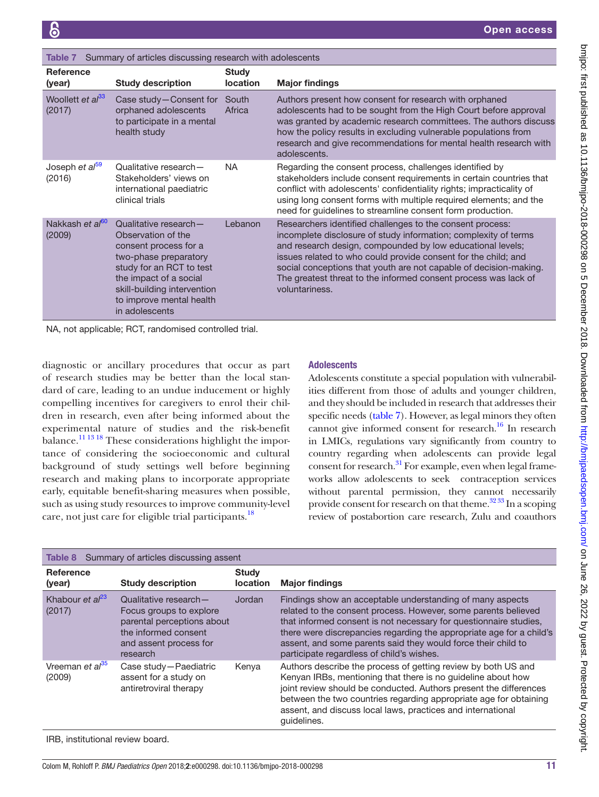<span id="page-10-0"></span>

| Summary of articles discussing research with adolescents<br>Table 7 |                                                                                                                                                                                                                                  |                                 |                                                                                                                                                                                                                                                                                                                                                                                                                        |  |
|---------------------------------------------------------------------|----------------------------------------------------------------------------------------------------------------------------------------------------------------------------------------------------------------------------------|---------------------------------|------------------------------------------------------------------------------------------------------------------------------------------------------------------------------------------------------------------------------------------------------------------------------------------------------------------------------------------------------------------------------------------------------------------------|--|
| <b>Reference</b><br>(year)                                          | <b>Study description</b>                                                                                                                                                                                                         | <b>Study</b><br><b>location</b> | <b>Major findings</b>                                                                                                                                                                                                                                                                                                                                                                                                  |  |
| Woollett et al <sup>33</sup><br>(2017)                              | Case study-Consent for<br>orphaned adolescents<br>to participate in a mental<br>health study                                                                                                                                     | South<br>Africa                 | Authors present how consent for research with orphaned<br>adolescents had to be sought from the High Court before approval<br>was granted by academic research committees. The authors discuss<br>how the policy results in excluding vulnerable populations from<br>research and give recommendations for mental health research with<br>adolescents.                                                                 |  |
| Joseph et al <sup>59</sup><br>(2016)                                | Qualitative research-<br>Stakeholders' views on<br>international paediatric<br>clinical trials                                                                                                                                   | NA.                             | Regarding the consent process, challenges identified by<br>stakeholders include consent requirements in certain countries that<br>conflict with adolescents' confidentiality rights; impracticality of<br>using long consent forms with multiple required elements; and the<br>need for guidelines to streamline consent form production.                                                                              |  |
| Nakkash et al <sup>60</sup><br>(2009)                               | Qualitative research-<br>Observation of the<br>consent process for a<br>two-phase preparatory<br>study for an RCT to test<br>the impact of a social<br>skill-building intervention<br>to improve mental health<br>in adolescents | Lebanon                         | Researchers identified challenges to the consent process:<br>incomplete disclosure of study information; complexity of terms<br>and research design, compounded by low educational levels;<br>issues related to who could provide consent for the child; and<br>social conceptions that youth are not capable of decision-making.<br>The greatest threat to the informed consent process was lack of<br>voluntariness. |  |

NA, not applicable; RCT, randomised controlled trial.

diagnostic or ancillary procedures that occur as part of research studies may be better than the local standard of care, leading to an undue inducement or highly compelling incentives for caregivers to enrol their children in research, even after being informed about the experimental nature of studies and the risk-benefit balance[.11 13 18](#page-12-10) These considerations highlight the importance of considering the socioeconomic and cultural background of study settings well before beginning research and making plans to incorporate appropriate early, equitable benefit-sharing measures when possible, such as using study resources to improve community-level care, not just care for eligible trial participants.<sup>[18](#page-12-13)</sup>

## **Adolescents**

Adolescents constitute a special population with vulnerabilities different from those of adults and younger children, and they should be included in research that addresses their specific needs ([table](#page-10-0) 7). However, as legal minors they often cannot give informed consent for research.<sup>16</sup> In research in LMICs, regulations vary significantly from country to country regarding when adolescents can provide legal consent for research.<sup>31</sup> For example, even when legal frameworks allow adolescents to seek contraception services without parental permission, they cannot necessarily provide consent for research on that theme.<sup>32 33</sup> In a scoping review of postabortion care research, Zulu and coauthors

<span id="page-10-1"></span>

| Summary of articles discussing assent<br>Table 8 |                                                                                                                                              |                                 |                                                                                                                                                                                                                                                                                                                                                                                        |
|--------------------------------------------------|----------------------------------------------------------------------------------------------------------------------------------------------|---------------------------------|----------------------------------------------------------------------------------------------------------------------------------------------------------------------------------------------------------------------------------------------------------------------------------------------------------------------------------------------------------------------------------------|
| <b>Reference</b><br>(year)                       | <b>Study description</b>                                                                                                                     | <b>Study</b><br><b>location</b> | <b>Major findings</b>                                                                                                                                                                                                                                                                                                                                                                  |
| Khabour et $al^{23}$<br>(2017)                   | Qualitative research-<br>Focus groups to explore<br>parental perceptions about<br>the informed consent<br>and assent process for<br>research | Jordan                          | Findings show an acceptable understanding of many aspects<br>related to the consent process. However, some parents believed<br>that informed consent is not necessary for questionnaire studies,<br>there were discrepancies regarding the appropriate age for a child's<br>assent, and some parents said they would force their child to<br>participate regardless of child's wishes. |
| Vreeman et al <sup>35</sup><br>(2009)            | Case study-Paediatric<br>assent for a study on<br>antiretroviral therapy                                                                     | Kenya                           | Authors describe the process of getting review by both US and<br>Kenyan IRBs, mentioning that there is no guideline about how<br>joint review should be conducted. Authors present the differences<br>between the two countries regarding appropriate age for obtaining<br>assent, and discuss local laws, practices and international<br>quidelines.                                  |

IRB, institutional review board.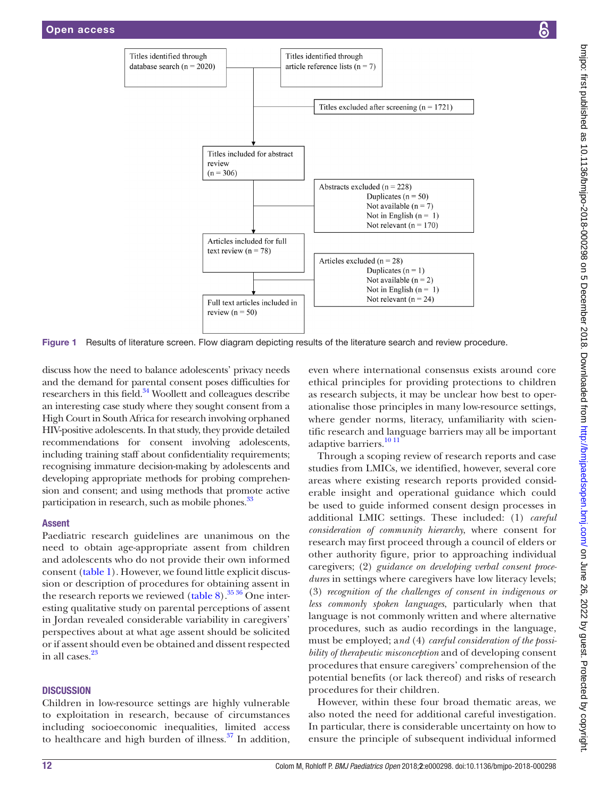

Figure 1 Results of literature screen. Flow diagram depicting results of the literature search and review procedure.

discuss how the need to balance adolescents' privacy needs and the demand for parental consent poses difficulties for researchers in this field.<sup>[34](#page-13-1)</sup> Woollett and colleagues describe an interesting case study where they sought consent from a High Court in South Africa for research involving orphaned HIV-positive adolescents. In that study, they provide detailed recommendations for consent involving adolescents, including training staff about confidentiality requirements; recognising immature decision-making by adolescents and developing appropriate methods for probing comprehension and consent; and using methods that promote active participation in research, such as mobile phones.<sup>33</sup>

#### Assent

Paediatric research guidelines are unanimous on the need to obtain age-appropriate assent from children and adolescents who do not provide their own informed consent [\(table](#page-2-0) 1). However, we found little explicit discussion or description of procedures for obtaining assent in the research reports we reviewed [\(table](#page-10-1) 8).<sup>[35 36](#page-13-34)</sup> One interesting qualitative study on parental perceptions of assent in Jordan revealed considerable variability in caregivers' perspectives about at what age assent should be solicited or if assent should even be obtained and dissent respected in all cases.<sup>[23](#page-12-23)</sup>

#### **DISCUSSION**

Children in low-resource settings are highly vulnerable to exploitation in research, because of circumstances including socioeconomic inequalities, limited access to healthcare and high burden of illness. $37$  In addition,

<span id="page-11-0"></span>even where international consensus exists around core ethical principles for providing protections to children as research subjects, it may be unclear how best to operationalise those principles in many low-resource settings, where gender norms, literacy, unfamiliarity with scientific research and language barriers may all be important adaptive barriers.<sup>[10 11](#page-12-7)</sup>

Through a scoping review of research reports and case studies from LMICs, we identified, however, several core areas where existing research reports provided considerable insight and operational guidance which could be used to guide informed consent design processes in additional LMIC settings. These included: (1) *careful consideration of community hierarchy*, where consent for research may first proceed through a council of elders or other authority figure, prior to approaching individual caregivers; (2) *guidance on developing verbal consent procedures* in settings where caregivers have low literacy levels; (3) *recognition of the challenges of consent in indigenous or less commonly spoken languages*, particularly when that language is not commonly written and where alternative procedures, such as audio recordings in the language, must be employed; a*nd* (4) *careful consideration of the possibility of therapeutic misconception* and of developing consent procedures that ensure caregivers' comprehension of the potential benefits (or lack thereof) and risks of research procedures for their children.

However, within these four broad thematic areas, we also noted the need for additional careful investigation. In particular, there is considerable uncertainty on how to ensure the principle of subsequent individual informed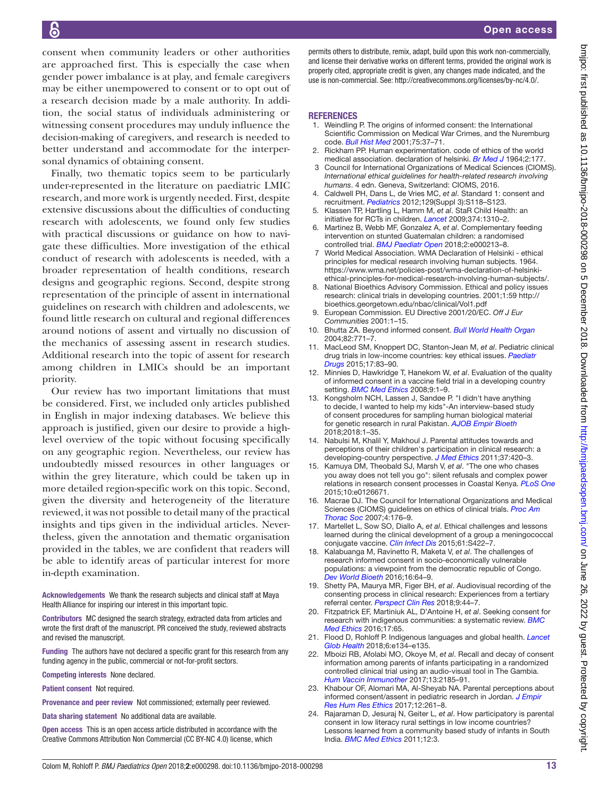consent when community leaders or other authorities are approached first. This is especially the case when gender power imbalance is at play, and female caregivers may be either unempowered to consent or to opt out of a research decision made by a male authority. In addition, the social status of individuals administering or witnessing consent procedures may unduly influence the decision-making of caregivers, and research is needed to better understand and accommodate for the interpersonal dynamics of obtaining consent.

Finally, two thematic topics seem to be particularly under-represented in the literature on paediatric LMIC research, and more work is urgently needed. First, despite extensive discussions about the difficulties of conducting research with adolescents, we found only few studies with practical discussions or guidance on how to navigate these difficulties. More investigation of the ethical conduct of research with adolescents is needed, with a broader representation of health conditions, research designs and geographic regions. Second, despite strong representation of the principle of assent in international guidelines on research with children and adolescents, we found little research on cultural and regional differences around notions of assent and virtually no discussion of the mechanics of assessing assent in research studies. Additional research into the topic of assent for research among children in LMICs should be an important priority.

Our review has two important limitations that must be considered. First, we included only articles published in English in major indexing databases. We believe this approach is justified, given our desire to provide a highlevel overview of the topic without focusing specifically on any geographic region. Nevertheless, our review has undoubtedly missed resources in other languages or within the grey literature, which could be taken up in more detailed region-specific work on this topic. Second, given the diversity and heterogeneity of the literature reviewed, it was not possible to detail many of the practical insights and tips given in the individual articles. Nevertheless, given the annotation and thematic organisation provided in the tables, we are confident that readers will be able to identify areas of particular interest for more in-depth examination.

Acknowledgements We thank the research subjects and clinical staff at Maya Health Alliance for inspiring our interest in this important topic.

Contributors MC designed the search strategy, extracted data from articles and wrote the first draft of the manuscript. PR conceived the study, reviewed abstracts and revised the manuscript.

Funding The authors have not declared a specific grant for this research from any funding agency in the public, commercial or not-for-profit sectors.

Competing interests None declared.

Patient consent Not required.

Provenance and peer review Not commissioned; externally peer reviewed.

Data sharing statement No additional data are available.

Open access This is an open access article distributed in accordance with the Creative Commons Attribution Non Commercial (CC BY-NC 4.0) license, which

permits others to distribute, remix, adapt, build upon this work non-commercially, and license their derivative works on different terms, provided the original work is properly cited, appropriate credit is given, any changes made indicated, and the use is non-commercial. See: <http://creativecommons.org/licenses/by-nc/4.0/>.

#### **REFERENCES**

- <span id="page-12-0"></span>1. Weindling P. The origins of informed consent: the International Scientific Commission on Medical War Crimes, and the Nuremburg code. *[Bull Hist Med](http://dx.doi.org/10.1353/bhm.2001.0049)* 2001;75:37–71.
- <span id="page-12-1"></span>2. Rickham PP. Human experimentation. code of ethics of the world medical association. declaration of helsinki. *[Br Med J](http://www.ncbi.nlm.nih.gov/pubmed/14150898)* 1964;2:177.
- <span id="page-12-2"></span>Council for International Organizations of Medical Sciences (CIOMS). *International ethical guidelines for health-related research involving humans*. 4 edn. Geneva, Switzerland: CIOMS, 2016.
- <span id="page-12-8"></span>4. Caldwell PH, Dans L, de Vries MC, *et al*. Standard 1: consent and recruitment. *[Pediatrics](http://dx.doi.org/10.1542/peds.2012-0055D)* 2012;129(Suppl 3):S118–S123.
- <span id="page-12-3"></span>5. Klassen TP, Hartling L, Hamm M, *et al*. StaR Child Health: an initiative for RCTs in children. *[Lancet](http://dx.doi.org/10.1016/S0140-6736(09)61803-1)* 2009;374:1310–2.
- <span id="page-12-4"></span>6. Martinez B, Webb MF, Gonzalez A, *et al*. Complementary feeding intervention on stunted Guatemalan children: a randomised controlled trial. *[BMJ Paediatr Open](http://dx.doi.org/10.1136/bmjpo-2017-000213)* 2018;2:e000213–8.
- <span id="page-12-5"></span>7 World Medical Association. WMA Declaration of Helsinki - ethical principles for medical research involving human subjects. 1964. [https://www.wma.net/policies-post/wma-declaration-of-helsinki](https://www.wma.net/policies-post/wma-declaration-of-helsinki-ethical-principles-for-medical-research-involving-human-subjects/)[ethical-principles-for-medical-research-involving-human-subjects/](https://www.wma.net/policies-post/wma-declaration-of-helsinki-ethical-principles-for-medical-research-involving-human-subjects/).
- <span id="page-12-6"></span>National Bioethics Advisory Commission. Ethical and policy issues research: clinical trials in developing countries. 2001;1:59 [http://](http://bioethics.georgetown.edu/nbac/clinical/Vol1.pdf) [bioethics.georgetown.edu/nbac/clinical/Vol1.pdf](http://bioethics.georgetown.edu/nbac/clinical/Vol1.pdf)
- <span id="page-12-9"></span>9. European Commission. EU Directive 2001/20/EC. *Off J Eur Communities* 2001:1–15.
- <span id="page-12-7"></span>10. Bhutta ZA. Beyond informed consent. *[Bull World Health Organ](http://www.ncbi.nlm.nih.gov/pubmed/15643799)* 2004;82:771–7.
- <span id="page-12-10"></span>11. MacLeod SM, Knoppert DC, Stanton-Jean M, *et al*. Pediatric clinical drug trials in low-income countries: key ethical issues. *[Paediatr](http://dx.doi.org/10.1007/s40272-014-0103-3)  [Drugs](http://dx.doi.org/10.1007/s40272-014-0103-3)* 2015;17:83–90.
- <span id="page-12-20"></span>12. Minnies D, Hawkridge T, Hanekom W, *et al*. Evaluation of the quality of informed consent in a vaccine field trial in a developing country setting. *[BMC Med Ethics](http://dx.doi.org/10.1186/1472-6939-9-15)* 2008;9:1–9.
- <span id="page-12-11"></span>13. Kongsholm NCH, Lassen J, Sandøe P. "I didn't have anything to decide, I wanted to help my kids"-An interview-based study of consent procedures for sampling human biological material for genetic research in rural Pakistan. *[AJOB Empir Bioeth](http://dx.doi.org/10.1080/23294515.2018.1472148)* 2018;2018:1–35.
- <span id="page-12-21"></span>14. Nabulsi M, Khalil Y, Makhoul J. Parental attitudes towards and perceptions of their children's participation in clinical research: a developing-country perspective. *[J Med Ethics](http://dx.doi.org/10.1136/jme.2010.035899)* 2011;37:420–3.
- <span id="page-12-12"></span>15. Kamuya DM, Theobald SJ, Marsh V, *et al*. "The one who chases you away does not tell you go": silent refusals and complex power relations in research consent processes in Coastal Kenya. *[PLoS One](http://dx.doi.org/10.1371/journal.pone.0126671)* 2015;10:e0126671.
- <span id="page-12-22"></span>16. Macrae DJ. The Council for International Organizations and Medical Sciences (CIOMS) guidelines on ethics of clinical trials. *[Proc Am](http://dx.doi.org/10.1513/pats.200701-011GC)  [Thorac Soc](http://dx.doi.org/10.1513/pats.200701-011GC)* 2007;4:176–9.
- <span id="page-12-15"></span>17. Martellet L, Sow SO, Diallo A, *et al*. Ethical challenges and lessons learned during the clinical development of a group a meningococcal conjugate vaccine. *[Clin Infect Dis](http://dx.doi.org/10.1093/cid/civ598)* 2015;61:S422–7.
- <span id="page-12-13"></span>18. Kalabuanga M, Ravinetto R, Maketa V, *et al*. The challenges of research informed consent in socio-economically vulnerable populations: a viewpoint from the democratic republic of Congo. *[Dev World Bioeth](http://dx.doi.org/10.1111/dewb.12090)* 2016;16:64–9.
- <span id="page-12-16"></span>19. Shetty PA, Maurya MR, Figer BH, *et al*. Audiovisual recording of the consenting process in clinical research: Experiences from a tertiary referral center. *[Perspect Clin Res](http://dx.doi.org/10.4103/picr.PICR_172_17)* 2018;9:44–7.
- <span id="page-12-17"></span>20. Fitzpatrick EF, Martiniuk AL, D'Antoine H, *et al*. Seeking consent for research with indigenous communities: a systematic review. *[BMC](http://dx.doi.org/10.1186/s12910-016-0139-8)  [Med Ethics](http://dx.doi.org/10.1186/s12910-016-0139-8)* 2016;17:65.
- <span id="page-12-18"></span>21. Flood D, Rohloff P. Indigenous languages and global health. *[Lancet](http://dx.doi.org/10.1016/S2214-109X(17)30493-X)  [Glob Health](http://dx.doi.org/10.1016/S2214-109X(17)30493-X)* 2018;6:e134–e135.
- <span id="page-12-14"></span>22. Mboizi RB, Afolabi MO, Okoye M, *et al*. Recall and decay of consent information among parents of infants participating in a randomized controlled clinical trial using an audio-visual tool in The Gambia. *[Hum Vaccin Immunother](http://dx.doi.org/10.1080/21645515.2017.1320624)* 2017;13:2185–91.
- <span id="page-12-23"></span>23. Khabour OF, Alomari MA, Al-Sheyab NA. Parental perceptions about informed consent/assent in pediatric research in Jordan. *[J Empir](http://dx.doi.org/10.1177/1556264617718937)  [Res Hum Res Ethics](http://dx.doi.org/10.1177/1556264617718937)* 2017;12:261–8.
- <span id="page-12-19"></span>24. Rajaraman D, Jesuraj N, Geiter L, *et al*. How participatory is parental consent in low literacy rural settings in low income countries? Lessons learned from a community based study of infants in South India. *[BMC Med Ethics](http://dx.doi.org/10.1186/1472-6939-12-3)* 2011;12:3.